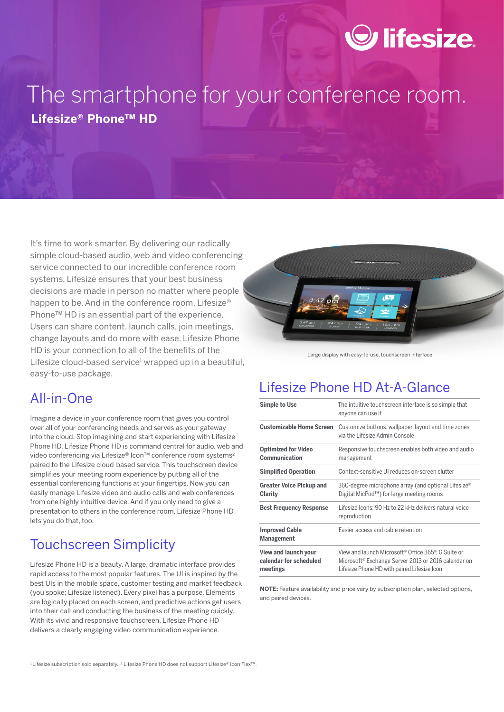# $\odot$  lifesize.

# The smartphone for your conference room. **Lifesize® Phone™ HD**

It's time to work smarter. By delivering our radically simple cloud-based audio, web and video conferencing service connected to our incredible conference room systems, Lifesize ensures that your best business decisions are made in person no matter where people happen to be. And in the conference room, Lifesize® Phone™ HD is an essential part of the experience. Users can share content, launch calls, join meetings, change layouts and do more with ease. Lifesize Phone HD is your connection to all of the benefits of the Lifesize cloud-based service<sup>1</sup> wrapped up in a beautiful, easy-to-use package.

Large display with easy-to-use, touchscreen interface

### All-in-One

Imagine a device in your conference room that gives you control over all of your conferencing needs and serves as your gateway into the cloud. Stop imagining and start experiencing with Lifesize Phone HD. Lifesize Phone HD is command central for audio, web and video conferencing via Lifesize® Icon™ conference room systems<sup>2</sup> paired to the Lifesize cloud-based service. This touchscreen device simplifies your meeting room experience by putting all of the essential conferencing functions at your fingertips. Now you can easily manage Lifesize video and audio calls and web conferences from one highly intuitive device. And if you only need to give a presentation to others in the conference room, Lifesize Phone HD lets you do that, too.

### Touchscreen Simplicity

Lifesize Phone HD is a beauty. A large, dramatic interface provides rapid access to the most popular features. The UI is inspired by the best UIs in the mobile space, customer testing and market feedback (you spoke; Lifesize listened). Every pixel has a purpose. Elements are logically placed on each screen, and predictive actions get users into their call and conducting the business of the meeting quickly. With its vivid and responsive touchscreen, Lifesize Phone HD delivers a clearly engaging video communication experience.

### Lifesize Phone HD At-A-Glance

| <b>Simple to Use</b>                                              | The intuitive touchscreen interface is so simple that<br>anyone can use it                                                                                                                    |
|-------------------------------------------------------------------|-----------------------------------------------------------------------------------------------------------------------------------------------------------------------------------------------|
| <b>Customizable Home Screen</b>                                   | Customize buttons, wallpaper, layout and time zones<br>via the Lifesize Admin Console                                                                                                         |
| <b>Optimized for Video</b><br>Communication                       | Responsive touchscreen enables both video and audio<br>management                                                                                                                             |
| <b>Simplified Operation</b>                                       | Context-sensitive UI reduces on-screen clutter                                                                                                                                                |
| <b>Greater Voice Pickup and</b><br>Clarity                        | 360-degree microphone array (and optional Lifesize <sup>®</sup><br>Digital MicPod™) for large meeting rooms                                                                                   |
| <b>Best Frequency Response</b>                                    | Lifesize Icons: 90 Hz to 22 kHz delivers natural voice<br>reproduction                                                                                                                        |
| <b>Improved Cable</b><br><b>Management</b>                        | Easier access and cable retention                                                                                                                                                             |
| <b>View and launch your</b><br>calendar for scheduled<br>meetings | View and launch Microsoft <sup>®</sup> Office 365 <sup>®</sup> , G Suite or<br>Microsoft <sup>®</sup> Exchange Server 2013 or 2016 calendar on<br>Lifesize Phone HD with paired Lifesize Icon |

**NOTE:** Feature availability and price vary by subscription plan, selected options, and paired devices.